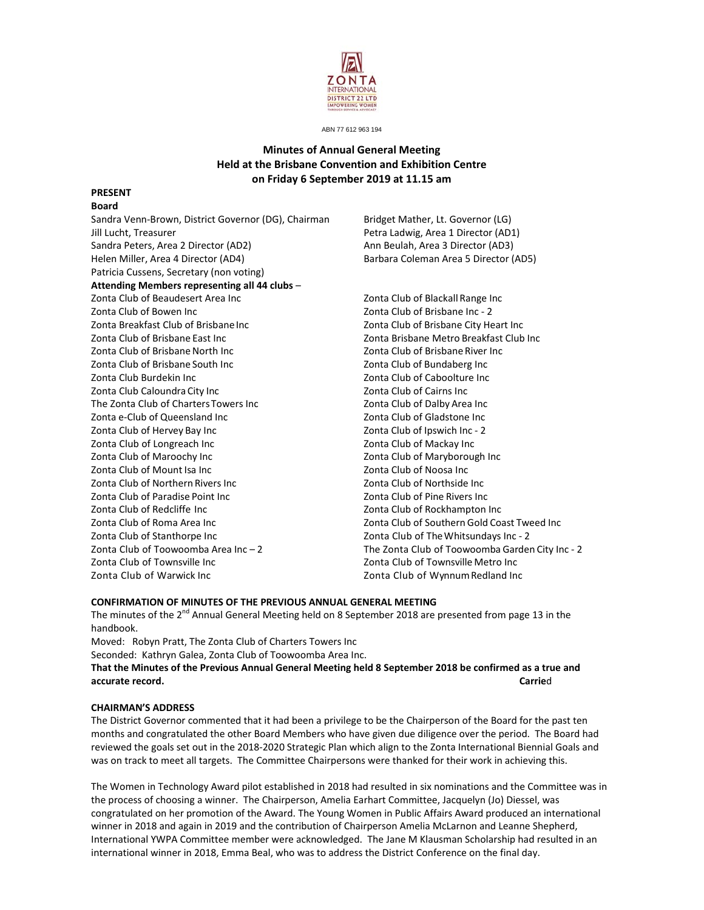

ABN 77 612 963 194

# **Minutes of Annual General Meeting Held at the Brisbane Convention and Exhibition Centre on Friday 6 September 2019 at 11.15 am**

#### **PRESENT Board**

Sandra Venn-Brown, District Governor (DG), Chairman Bridget Mather, Lt. Governor (LG) Jill Lucht, Treasurer **Internal 2008** Petra Ladwig, Area 1 Director (AD1) Sandra Peters, Area 2 Director (AD2) Ann Beulah, Area 3 Director (AD3) Helen Miller, Area 4 Director (AD4) Barbara Coleman Area 5 Director (AD5) Patricia Cussens, Secretary (non voting) **Attending Members representing all 44 clubs** – Zonta Club of Beaudesert Area Inc Zonta Club of Blackall Range Inc Zonta Club of Bowen Inc Zonta Club of Brisbane Inc ‐ 2 Zonta Breakfast Club of BrisbaneInc Zonta Club of Brisbane City Heart Inc Zonta Club of Brisbane East Inc Zonta Brisbane Metro Breakfast Club Inc Zonta Club of BrisbaneNorth Inc Zonta Club of Brisbane River Inc Zonta Club of Brisbane South Inc Zonta Club of Bundaberg Inc Zonta Club Burdekin Inc Zonta Club of Caboolture Inc Zonta Club Caloundra City Inc Zonta Club of Cairns Inc The Zonta Club of ChartersTowers Inc Zonta Club of Dalby Area Inc Zonta e-Club of Queensland Inc *Department* 2012 **Zonta Club of Gladstone Inc** Zonta Club of Hervey Bay Inc Zonta Club of Ipswich Inc ‐ 2 Zonta Club of Longreach Inc *Discrete Club Club of Mackay Inc* Zonta Club of Maroochy Inc Zonta Club of Maryborough Inc Zonta Club of Mount Isa Inc Zonta Club of Noosa Inc Zonta Club of Northern Rivers Inc Zonta Club of Northside Inc Zonta Club of Paradise Point Inc Zonta Club of Pine Rivers Inc Zonta Club of Redcliffe Inc Zonta Club of Rockhampton Inc Zonta Club of Roma Area Inc Zonta Club of Southern Gold Coast Tweed Inc Zonta Club of Stanthorpe Inc Zonta Club of TheWhitsundays Inc ‐ 2 Zonta Club of Toowoomba Area Inc – 2 The Zonta Club of Toowoomba Garden City Inc ‐ 2 Zonta Club of Townsville Inc Zonta Club of Townsville Metro Inc Zonta Club of Warwick Inc Zonta Club of WynnumRedland Inc

# **CONFIRMATION OF MINUTES OF THE PREVIOUS ANNUAL GENERAL MEETING**

The minutes of the 2<sup>nd</sup> Annual General Meeting held on 8 September 2018 are presented from page 13 in the handbook.

Moved: Robyn Pratt, The Zonta Club of Charters Towers Inc Seconded: Kathryn Galea, Zonta Club of Toowoomba Area Inc. That the Minutes of the Previous Annual General Meeting held 8 September 2018 be confirmed as a true and **accurate record. Carrie**d

### **CHAIRMAN'S ADDRESS**

The District Governor commented that it had been a privilege to be the Chairperson of the Board for the past ten months and congratulated the other Board Members who have given due diligence over the period. The Board had reviewed the goals set out in the 2018‐2020 Strategic Plan which align to the Zonta International Biennial Goals and was on track to meet all targets. The Committee Chairpersons were thanked for their work in achieving this.

The Women in Technology Award pilot established in 2018 had resulted in six nominations and the Committee was in the process of choosing a winner. The Chairperson, Amelia Earhart Committee, Jacquelyn (Jo) Diessel, was congratulated on her promotion of the Award. The Young Women in Public Affairs Award produced an international winner in 2018 and again in 2019 and the contribution of Chairperson Amelia McLarnon and Leanne Shepherd, International YWPA Committee member were acknowledged. The Jane M Klausman Scholarship had resulted in an international winner in 2018, Emma Beal, who was to address the District Conference on the final day.